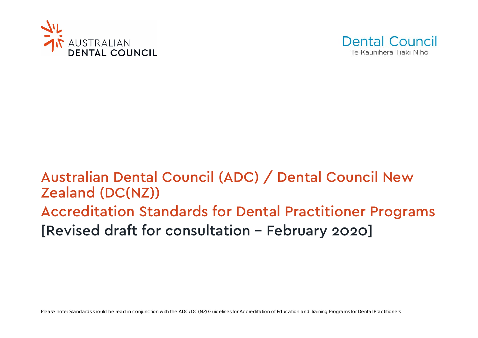



# Australian Dental Council (ADC) / Dental Council New Zealand (DC(NZ)) Accreditation Standards for Dental Practitioner Programs [Revised draft for consultation – February 2020]

Please note: Standards should be read in conjunction with the ADC/DC(NZ) Guidelines for Accreditation of Education and Training Programs for Dental Practitioners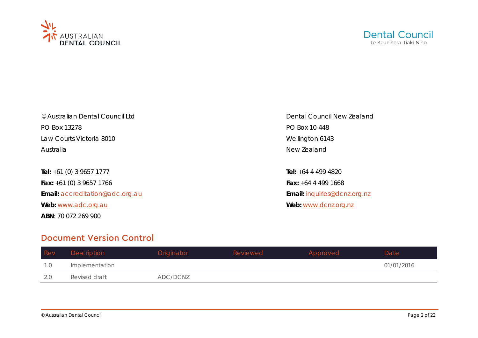



PO Box 13278 PO Box 10-448 Law Courts Victoria 8010 News 2008 2008 2010 Nellington 6143 Australia **New Zealand** 

**Tel:** +61 (0) 3 9657 1777 **Tel:** +64 4 499 4820 **Fax:** +61 (0) 3 9657 1766 **Fax:** +64 4 499 1668 **Email:** [accreditation@adc.org.au](mailto:accreditation@adc.org.au) **Email:** inquiries@dcnz.org.nz **Web:** [www.adc.org.au](http://www.adc.org.au/) **Web:** www.dcnz.org.nz **ABN**: 70 072 269 900

© Australian Dental Council Ltd **Dental Council Ltd** Dental Council New Zealand

# Document Version Control

| Rev | Description    | Originator | Reviewed | Approved | Date       |
|-----|----------------|------------|----------|----------|------------|
| 1.0 | Implementation |            |          |          | 01/01/2016 |
| 2.0 | Revised draft  | ADC/DCNZ   |          |          |            |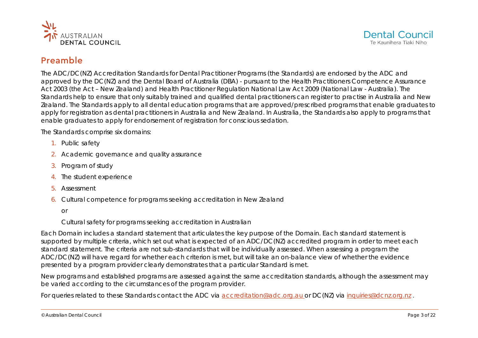



# Preamble

The *ADC/DC(NZ) Accreditation Standards for Dental Practitioner Programs* (the Standards) are endorsed by the ADC and approved by the DC(NZ) and the Dental Board of Australia (DBA) - pursuant to the *Health Practitioners Competence Assurance Act* 2003 (the Act – New Zealand) and *Health Practitioner Regulation National Law Act* 2009 (National Law - Australia). The Standards help to ensure that only suitably trained and qualified dental practitioners can register to practise in Australia and New Zealand. The Standards apply to all dental education programs that are approved/prescribed programs that enable graduates to apply for registration as dental practitioners in Australia and New Zealand. In Australia, the Standards also apply to programs that enable graduates to apply for endorsement of registration for conscious sedation.

The Standards comprise six domains:

- 1. Public safety
- 2. Academic governance and quality assurance
- 3. Program of study
- 4. The student experience
- 5. Assessment
- 6. Cultural competence for programs seeking accreditation in New Zealand
	- or

Cultural safety for programs seeking accreditation in Australian

Each Domain includes a standard statement that articulates the key purpose of the Domain. Each standard statement is supported by multiple criteria, which set out what is expected of an ADC/DC(NZ) accredited program in order to meet each standard statement. The criteria are not sub-standards that will be individually assessed. When assessing a program the ADC/DC(NZ) will have regard for whether each criterion is met, but will take an on-balance view of whether the evidence presented by a program provider clearly demonstrates that a particular Standard is met.

New programs and established programs are assessed against the same accreditation standards, although the assessment may be varied according to the circumstances of the program provider.

For queries related to these Standards contact the ADC via [accreditation@adc.org.au](mailto:accreditation@adc.org.au) or DC(NZ) via inquiries@dcnz.org.nz.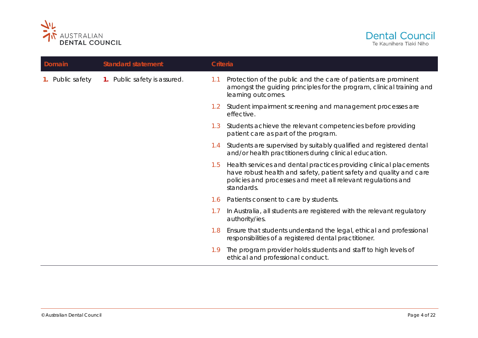



| Domain        | <b>Standard statement</b>    | Criteria |                                                                                                                                                                                                                        |
|---------------|------------------------------|----------|------------------------------------------------------------------------------------------------------------------------------------------------------------------------------------------------------------------------|
| Public safety | 1. Public safety is assured. | 1.1      | Protection of the public and the care of patients are prominent<br>amongst the guiding principles for the program, clinical training and<br>learning outcomes.                                                         |
|               |                              |          | 1.2 Student impairment screening and management processes are<br>effective.                                                                                                                                            |
|               |                              | 1.3      | Students achieve the relevant competencies before providing<br>patient care as part of the program.                                                                                                                    |
|               |                              | 1.4      | Students are supervised by suitably qualified and registered dental<br>and/or health practitioners during clinical education.                                                                                          |
|               |                              | 1.5      | Health services and dental practices providing clinical placements<br>have robust health and safety, patient safety and quality and care<br>policies and processes and meet all relevant regulations and<br>standards. |
|               |                              | 1.6      | Patients consent to care by students.                                                                                                                                                                                  |
|               |                              | 1.7      | In Australia, all students are registered with the relevant regulatory<br>authority/ies.                                                                                                                               |
|               |                              | 1.8      | Ensure that students understand the legal, ethical and professional<br>responsibilities of a registered dental practitioner.                                                                                           |
|               |                              | 1.9      | The program provider holds students and staff to high levels of<br>ethical and professional conduct.                                                                                                                   |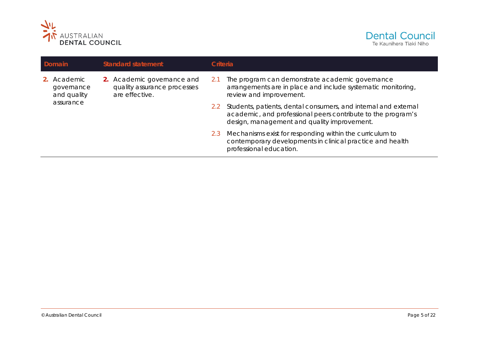



| Domain |                                          | <b>Standard statement</b> |                                                                             | Criteria |                                                                                                                                                                                |  |
|--------|------------------------------------------|---------------------------|-----------------------------------------------------------------------------|----------|--------------------------------------------------------------------------------------------------------------------------------------------------------------------------------|--|
|        | 2. Academic<br>governance<br>and quality |                           | 2. Academic governance and<br>quality assurance processes<br>are effective. | -2.1     | The program can demonstrate academic governance<br>arrangements are in place and include systematic monitoring,<br>review and improvement.                                     |  |
|        | assurance                                |                           |                                                                             | 2.2      | Students, patients, dental consumers, and internal and external<br>academic, and professional peers contribute to the program's<br>design, management and quality improvement. |  |
|        |                                          |                           |                                                                             | 2.3      | Mechanisms exist for responding within the curriculum to<br>contemporary developments in clinical practice and health<br>professional education.                               |  |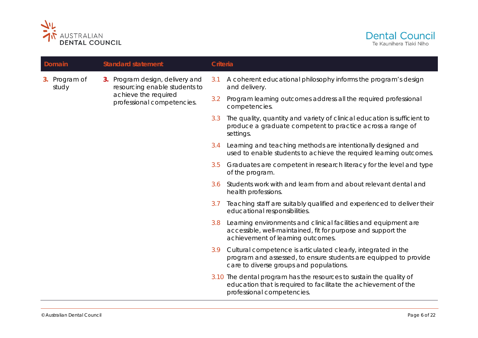



| Domain                 |  | <b>Standard statement</b>                                        | Criteria |                                                                                                                                                                                  |
|------------------------|--|------------------------------------------------------------------|----------|----------------------------------------------------------------------------------------------------------------------------------------------------------------------------------|
| 3. Program of<br>study |  | 3. Program design, delivery and<br>resourcing enable students to | 3.1      | A coherent educational philosophy informs the program's design<br>and delivery.                                                                                                  |
|                        |  | achieve the required<br>professional competencies.               | 3.2      | Program learning outcomes address all the required professional<br>competencies.                                                                                                 |
|                        |  |                                                                  | 3.3      | The quality, quantity and variety of clinical education is sufficient to<br>produce a graduate competent to practice across a range of<br>settings.                              |
|                        |  |                                                                  | 3.4      | Learning and teaching methods are intentionally designed and<br>used to enable students to achieve the required learning outcomes.                                               |
|                        |  |                                                                  | 3.5      | Graduates are competent in research literacy for the level and type<br>of the program.                                                                                           |
|                        |  |                                                                  | 3.6      | Students work with and learn from and about relevant dental and<br>health professions.                                                                                           |
|                        |  |                                                                  | 3.7      | Teaching staff are suitably qualified and experienced to deliver their<br>educational responsibilities.                                                                          |
|                        |  |                                                                  | 3.8      | Learning environments and clinical facilities and equipment are<br>accessible, well-maintained, fit for purpose and support the<br>achievement of learning outcomes.             |
|                        |  |                                                                  |          | 3.9 Cultural competence is articulated clearly, integrated in the<br>program and assessed, to ensure students are equipped to provide<br>care to diverse groups and populations. |
|                        |  |                                                                  |          | 3.10 The dental program has the resources to sustain the quality of<br>education that is required to facilitate the achievement of the<br>professional competencies.             |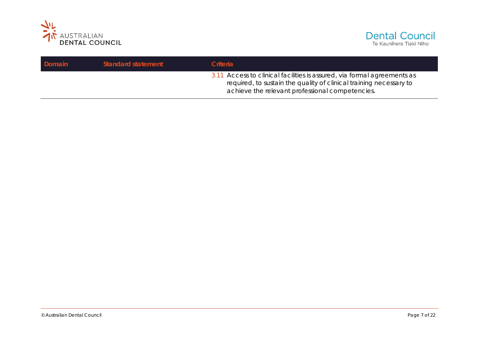



| Domain | <b>Standard statement</b> | <b>Criteria</b>                                                                                                                                                                                  |
|--------|---------------------------|--------------------------------------------------------------------------------------------------------------------------------------------------------------------------------------------------|
|        |                           | 3.11 Access to clinical facilities is assured, via formal agreements as<br>required, to sustain the quality of clinical training necessary to<br>achieve the relevant professional competencies. |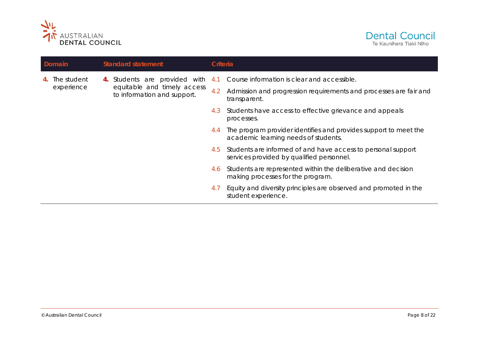



|  | Domain      |  | <b>Standard statement</b>                                  | Criteria |                                                                                                           |
|--|-------------|--|------------------------------------------------------------|----------|-----------------------------------------------------------------------------------------------------------|
|  | The student |  | 4. Students are provided with 4.1                          |          | Course information is clear and accessible.                                                               |
|  | experience  |  | equitable and timely access<br>to information and support. | 4.2      | Admission and progression requirements and processes are fair and<br>transparent.                         |
|  |             |  |                                                            | 4.3      | Students have access to effective grievance and appeals<br>processes.                                     |
|  |             |  |                                                            | 4.4      | The program provider identifies and provides support to meet the<br>academic learning needs of students.  |
|  |             |  |                                                            | 4.5      | Students are informed of and have access to personal support<br>services provided by qualified personnel. |
|  |             |  |                                                            | 4.6      | Students are represented within the deliberative and decision<br>making processes for the program.        |
|  |             |  |                                                            | 4.1      | Equity and diversity principles are observed and promoted in the<br>student experience.                   |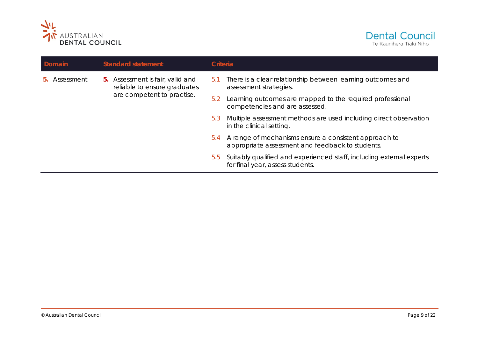



| Domain                       | <b>Standard statement</b>                                               | Criteria                                                                                                         |  |
|------------------------------|-------------------------------------------------------------------------|------------------------------------------------------------------------------------------------------------------|--|
| Assessment<br>b <sub>1</sub> | <b>5.</b> Assessment is fair, valid and<br>reliable to ensure graduates | There is a clear relationship between learning outcomes and<br>b.1<br>assessment strategies.                     |  |
|                              | are competent to practise.                                              | Learning outcomes are mapped to the required professional<br>5.2<br>competencies and are assessed.               |  |
|                              |                                                                         | Multiple assessment methods are used including direct observation<br>5.3<br>in the clinical setting.             |  |
|                              |                                                                         | A range of mechanisms ensure a consistent approach to<br>5.4<br>appropriate assessment and feedback to students. |  |
|                              |                                                                         | Suitably qualified and experienced staff, including external experts<br>5.5<br>for final year, assess students.  |  |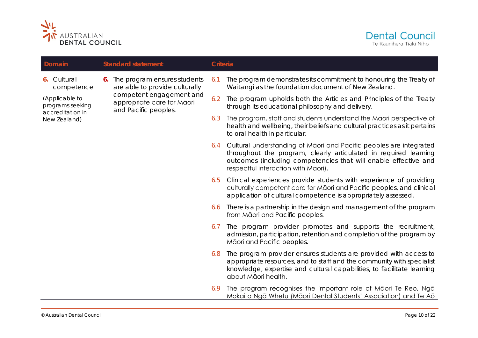



| Domain                                                 |  | <b>Standard statement</b>                                                      | Criteria |                                                                                                                                                                                                                                                      |
|--------------------------------------------------------|--|--------------------------------------------------------------------------------|----------|------------------------------------------------------------------------------------------------------------------------------------------------------------------------------------------------------------------------------------------------------|
| <b>6.</b> Cultural<br>competence                       |  | 6. The program ensures students<br>are able to provide culturally              | 6.1      | The program demonstrates its commitment to honouring the Treaty of<br>Waitangi as the foundation document of New Zealand.                                                                                                                            |
| (Applicable to<br>programs seeking<br>accreditation in |  | competent engagement and<br>appropriate care for Māori<br>and Pacific peoples. | 6.2      | The program upholds both the Articles and Principles of the Treaty<br>through its educational philosophy and delivery.                                                                                                                               |
| New Zealand)                                           |  |                                                                                | 6.3      | The program, staff and students understand the Maori perspective of<br>health and wellbeing, their beliefs and cultural practices as it pertains<br>to oral health in particular.                                                                    |
|                                                        |  |                                                                                |          | 6.4 Cultural understanding of Māori and Pacific peoples are integrated<br>throughout the program, clearly articulated in required learning<br>outcomes (including competencies that will enable effective and<br>respectful interaction with Māori). |
|                                                        |  |                                                                                |          | 6.5 Clinical experiences provide students with experience of providing<br>culturally competent care for Maori and Pacific peoples, and clinical<br>application of cultural competence is appropriately assessed.                                     |
|                                                        |  |                                                                                | 6.6      | There is a partnership in the design and management of the program<br>from Māori and Pacific peoples.                                                                                                                                                |
|                                                        |  |                                                                                | 6.7      | The program provider promotes and supports the recruitment,<br>admission, participation, retention and completion of the program by<br>Māori and Pacific peoples.                                                                                    |
|                                                        |  |                                                                                | 6.8      | The program provider ensures students are provided with access to<br>appropriate resources, and to staff and the community with specialist<br>knowledge, expertise and cultural capabilities, to facilitate learning<br>about Māori health.          |
|                                                        |  |                                                                                | 6.9      | The program recognises the important role of Maori Te Reo, Nga<br>Mokai o Ngā Whetu (Māori Dental Students' Association) and Te Aō                                                                                                                   |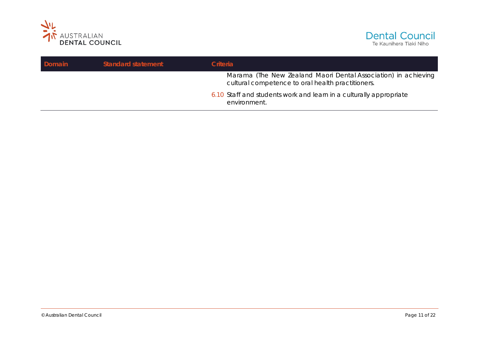



| Domain | <b>Standard statement</b> | <b>Criteria</b>                                                                                                     |
|--------|---------------------------|---------------------------------------------------------------------------------------------------------------------|
|        |                           | Marama (The New Zealand Maori Dental Association) in achieving<br>cultural competence to oral health practitioners. |
|        |                           | 6.10 Staff and students work and learn in a culturally appropriate<br>environment.                                  |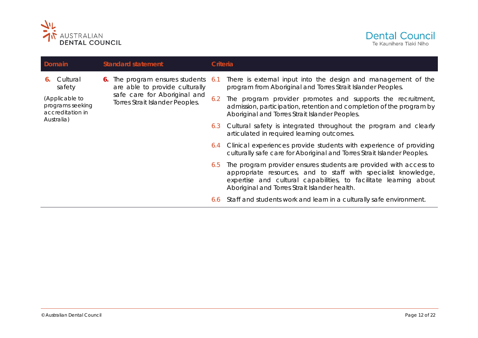



| Domain                                                               |    | <b>Standard statement</b>                                                                                                             | Criteria |                                                                                                                                                                                                                                                           |
|----------------------------------------------------------------------|----|---------------------------------------------------------------------------------------------------------------------------------------|----------|-----------------------------------------------------------------------------------------------------------------------------------------------------------------------------------------------------------------------------------------------------------|
| Cultural<br>6.<br>safety                                             | 6. | The program ensures students 6.1<br>are able to provide culturally<br>safe care for Aboriginal and<br>Torres Strait Islander Peoples. |          | There is external input into the design and management of the<br>program from Aboriginal and Torres Strait Islander Peoples.                                                                                                                              |
| (Applicable to<br>programs seeking<br>accreditation in<br>Australia) |    |                                                                                                                                       | 6.2      | The program provider promotes and supports the recruitment,<br>admission, participation, retention and completion of the program by<br>Aboriginal and Torres Strait Islander Peoples.                                                                     |
|                                                                      |    |                                                                                                                                       | 6.3      | Cultural safety is integrated throughout the program and clearly<br>articulated in required learning outcomes.                                                                                                                                            |
|                                                                      |    |                                                                                                                                       | 6.4      | Clinical experiences provide students with experience of providing<br>culturally safe care for Aboriginal and Torres Strait Islander Peoples.                                                                                                             |
|                                                                      |    |                                                                                                                                       | 6.5      | The program provider ensures students are provided with access to<br>appropriate resources, and to staff with specialist knowledge,<br>expertise and cultural capabilities, to facilitate learning about<br>Aboriginal and Torres Strait Islander health. |
|                                                                      |    |                                                                                                                                       | 6.6      | Staff and students work and learn in a culturally safe environment.                                                                                                                                                                                       |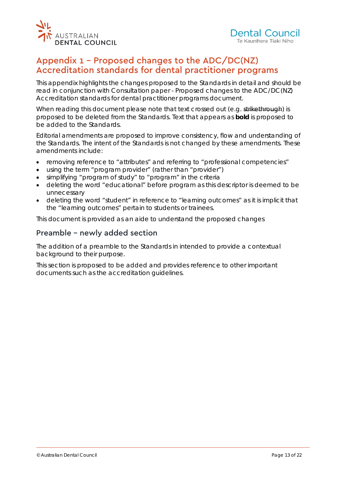

# Appendix 1 – Proposed changes to the ADC/DC(NZ) Accreditation standards for dental practitioner programs

This appendix highlights the changes proposed to the Standards in detail and should be read in conjunction with *Consultation paper - Proposed changes to the ADC/DC(NZ) Accreditation standards for dental practitioner programs* document.

When reading this document please note that text crossed out (e.g. strikethrough) is proposed to be deleted from the Standards. Text that appears as **bold** is proposed to be added to the Standards.

Editorial amendments are proposed to improve consistency, flow and understanding of the Standards. The intent of the Standards is not changed by these amendments. These amendments include:

- removing reference to *"attributes"* and referring to *"professional competencies"*
- using the term *"program provider"* (rather than *"provider")*
- simplifying *"program of study"* to *"program"* in the criteria
- deleting the word *"educational"* before program as this descriptor is deemed to be unnecessary
- deleting the word *"student"* in reference to *"learning outcomes"* as it is implicit that the *"learning outcomes"* pertain to students or trainees.

This document is provided as an aide to understand the proposed changes

### Preamble – newly added section

The addition of a preamble to the Standards in intended to provide a contextual background to their purpose.

This section is proposed to be added and provides reference to other important documents such as the accreditation guidelines.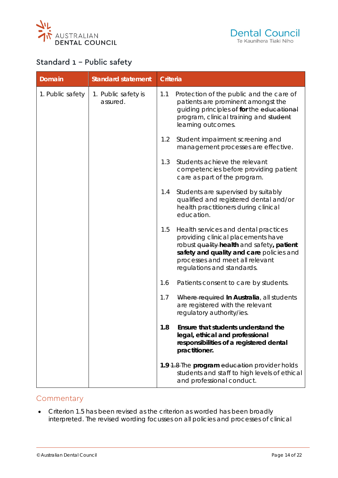



# Standard 1 – Public safety

| <b>Domain</b>    | <b>Standard statement</b>       | <b>Criteria</b> |                                                                                                                                                                                                                                      |
|------------------|---------------------------------|-----------------|--------------------------------------------------------------------------------------------------------------------------------------------------------------------------------------------------------------------------------------|
| 1. Public safety | 1. Public safety is<br>assured. | 1.1             | Protection of the public and the care of<br>patients are prominent amongst the<br>guiding principles of for the educational<br>program, clinical training and student<br>learning outcomes.                                          |
|                  |                                 | 1.2             | Student impairment screening and<br>management processes are effective.                                                                                                                                                              |
|                  |                                 | 1.3             | Students achieve the relevant<br>competencies before providing patient<br>care as part of the program.                                                                                                                               |
|                  |                                 | 1.4             | Students are supervised by suitably<br>qualified and registered dental and/or<br>health practitioners during clinical<br>education.                                                                                                  |
|                  |                                 | 1.5             | Health services and dental practices<br>providing clinical placements have<br>robust quality-health and safety, patient<br>safety and quality and care policies and<br>processes and meet all relevant<br>regulations and standards. |
|                  |                                 | 1.6             | Patients consent to care by students.                                                                                                                                                                                                |
|                  |                                 | 1.7             | Where required In Australia, all students<br>are registered with the relevant<br>regulatory authority/ies.                                                                                                                           |
|                  |                                 | 1.8             | Ensure that students understand the<br>legal, ethical and professional<br>responsibilities of a registered dental<br>practitioner.                                                                                                   |
|                  |                                 |                 | 1.9 1.8-The program education provider holds<br>students and staff to high levels of ethical<br>and professional conduct.                                                                                                            |

#### **Commentary**

• Criterion 1.5 has been revised as the criterion as worded has been broadly interpreted. The revised wording focusses on all policies and processes of clinical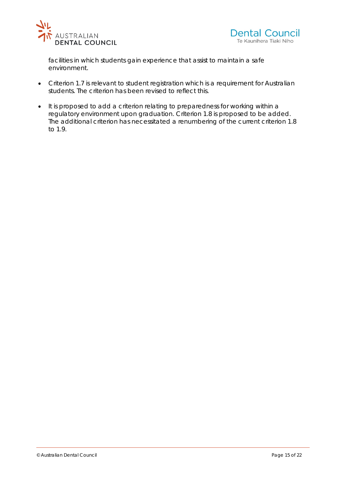



facilities in which students gain experience that assist to maintain a safe environment.

- Criterion 1.7 is relevant to student registration which is a requirement for Australian students. The criterion has been revised to reflect this.
- It is proposed to add a criterion relating to preparedness for working within a regulatory environment upon graduation. Criterion 1.8 is proposed to be added. The additional criterion has necessitated a renumbering of the current criterion 1.8 to 1.9.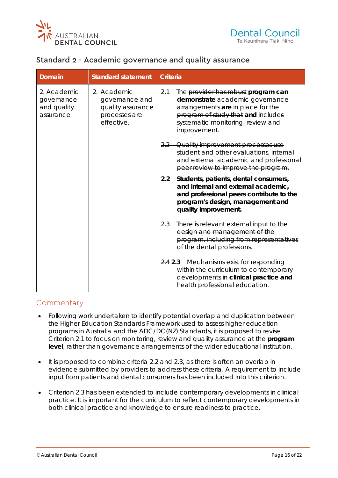



#### Standard 2 - Academic governance and quality assurance

| <b>Domain</b>                                         | <b>Standard statement</b>                                                         | Criteria                                                                                                                                                                                                      |  |  |
|-------------------------------------------------------|-----------------------------------------------------------------------------------|---------------------------------------------------------------------------------------------------------------------------------------------------------------------------------------------------------------|--|--|
| 2. Academic<br>governance<br>and quality<br>assurance | 2. Academic<br>governance and<br>quality assurance<br>processes are<br>effective. | 2.1<br>The provider has robust program can<br>demonstrate academic governance<br>arrangements are in place for the<br>program of study that and includes<br>systematic monitoring, review and<br>improvement. |  |  |
|                                                       |                                                                                   | 2.2 Quality improvement processes use<br>student and other evaluations, internal<br>and external academic and professional<br>peer review to improve the program.                                             |  |  |
|                                                       |                                                                                   | 2.2<br>Students, patients, dental consumers,<br>and internal and external academic,<br>and professional peers contribute to the<br>program's design, management and<br>quality improvement.                   |  |  |
|                                                       |                                                                                   | There is relevant external input to the<br><u>2.3—</u><br>design and management of the<br>program, including from representatives<br>of the dental professions.                                               |  |  |
|                                                       |                                                                                   | 2.4 2.3 Mechanisms exist for responding<br>within the curriculum to contemporary<br>developments in clinical practice and<br>health professional education.                                                   |  |  |

#### **Commentary**

- Following work undertaken to identify potential overlap and duplication between the Higher Education Standards Framework used to assess higher education programs in Australia and the ADC/DC(NZ) Standards, it is proposed to revise Criterion 2.1 to focus on monitoring, review and quality assurance at the **program level**, rather than governance arrangements of the wider educational institution.
- It is proposed to combine criteria 2.2 and 2.3, as there is often an overlap in evidence submitted by providers to address these criteria. A requirement to include input from patients and dental consumers has been included into this criterion.
- Criterion 2.3 has been extended to include contemporary developments in clinical practice. It is important for the curriculum to reflect contemporary developments in both clinical practice and knowledge to ensure readiness to practice.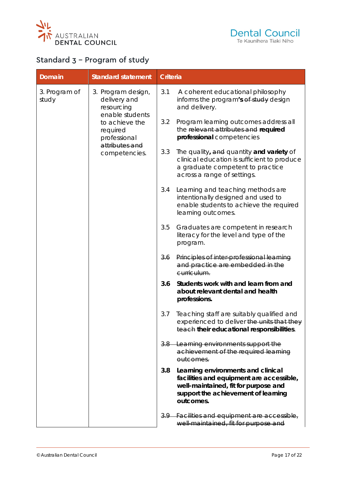



# Standard 3 – Program of study

| <b>Domain</b>                                                                                                                                                                  | <b>Standard statement</b> | <b>Criteria</b>                                                                                                                                                            |                                                                                             |                                                                                                            |
|--------------------------------------------------------------------------------------------------------------------------------------------------------------------------------|---------------------------|----------------------------------------------------------------------------------------------------------------------------------------------------------------------------|---------------------------------------------------------------------------------------------|------------------------------------------------------------------------------------------------------------|
| 3. Program of<br>3. Program design,<br>study<br>delivery and<br>resourcing<br>enable students<br>to achieve the<br>required<br>professional<br>attributes and<br>competencies. |                           | 3.1                                                                                                                                                                        | A coherent educational philosophy<br>informs the program's of study design<br>and delivery. |                                                                                                            |
|                                                                                                                                                                                |                           |                                                                                                                                                                            | 3.2                                                                                         | Program learning outcomes address all<br>the relevant attributes and required<br>professional competencies |
|                                                                                                                                                                                | 3.3                       | The quality, and quantity and variety of<br>clinical education is sufficient to produce<br>a graduate competent to practice<br>across a range of settings.                 |                                                                                             |                                                                                                            |
|                                                                                                                                                                                | 3.4                       | Learning and teaching methods are<br>intentionally designed and used to<br>enable students to achieve the required<br>learning outcomes.                                   |                                                                                             |                                                                                                            |
|                                                                                                                                                                                | 3.5                       | Graduates are competent in research<br>literacy for the level and type of the<br>program.                                                                                  |                                                                                             |                                                                                                            |
|                                                                                                                                                                                | 3.6                       | Principles of inter professional learning<br>and practice are embedded in the<br>curriculum.                                                                               |                                                                                             |                                                                                                            |
|                                                                                                                                                                                | 3.6                       | Students work with and learn from and<br>about relevant dental and health<br>professions.                                                                                  |                                                                                             |                                                                                                            |
|                                                                                                                                                                                | 3.7                       | Teaching staff are suitably qualified and<br>experienced to deliver the units that they<br>teach their educational responsibilities.                                       |                                                                                             |                                                                                                            |
|                                                                                                                                                                                |                           | $3.8 -$                                                                                                                                                                    | Learning environments support the<br>achievement of the required learning<br>outcomes.      |                                                                                                            |
|                                                                                                                                                                                | 3.8                       | Learning environments and clinical<br>facilities and equipment are accessible,<br>well-maintained, fit for purpose and<br>support the achievement of learning<br>outcomes. |                                                                                             |                                                                                                            |
|                                                                                                                                                                                |                           |                                                                                                                                                                            | 3.9 Facilities and equipment are accessible,<br>well maintained, fit for purpose and        |                                                                                                            |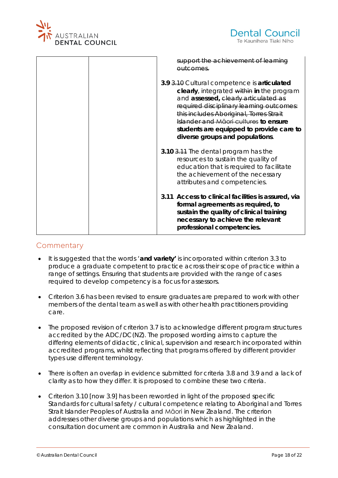

| support the achievement of learning<br><del>outcomes.</del>                                                                                                                                                                                                                                                                                     |
|-------------------------------------------------------------------------------------------------------------------------------------------------------------------------------------------------------------------------------------------------------------------------------------------------------------------------------------------------|
| 3.9 3.10 Cultural competence is articulated<br>clearly, integrated within in the program<br>and assessed, clearly articulated as<br>required disciplinary learning outcomes:<br>this includes Aboriginal, Torres Strait<br>Islander and Maori cultures to ensure<br>students are equipped to provide care to<br>diverse groups and populations. |
| 3.10 3.11 The dental program has the<br>resources to sustain the quality of<br>education that is required to facilitate<br>the achievement of the necessary<br>attributes and competencies.                                                                                                                                                     |
| 3.11 Access to clinical facilities is assured, via<br>formal agreements as required, to<br>sustain the quality of clinical training<br>necessary to achieve the relevant<br>professional competencies.                                                                                                                                          |

#### Commentary

- It is suggested that the words '**and variety'** is incorporated within criterion 3.3 to produce a graduate competent to practice across their scope of practice within a range of settings. Ensuring that students are provided with the range of cases required to develop competency is a focus for assessors.
- Criterion 3.6 has been revised to ensure graduates are prepared to work with other members of the dental team as well as with other health practitioners providing care.
- The proposed revision of criterion 3.7 is to acknowledge different program structures accredited by the ADC/DC(NZ). The proposed wording aims to capture the differing elements of didactic, clinical, supervision and research incorporated within accredited programs, whilst reflecting that programs offered by different provider types use different terminology.
- There is often an overlap in evidence submitted for criteria 3.8 and 3.9 and a lack of clarity as to how they differ. It is proposed to combine these two criteria.
- Criterion 3.10 [now 3.9] has been reworded in light of the proposed specific Standards for cultural safety / cultural competence relating to Aboriginal and Torres Strait Islander Peoples of Australia and Māori in New Zealand. The criterion addresses other diverse groups and populations which as highlighted in the consultation document are common in Australia and New Zealand.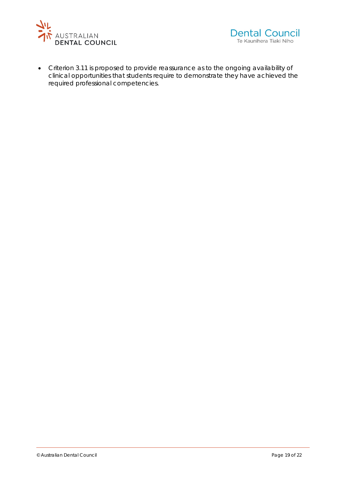



• Criterion 3.11 is proposed to provide reassurance as to the ongoing availability of clinical opportunities that students require to demonstrate they have achieved the required professional competencies.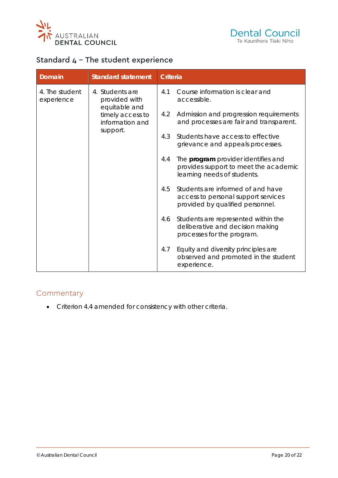



## Standard 4 – The student experience

| Domain                                                                                                                               | <b>Standard statement</b> | <b>Criteria</b>                                                                                                    |                                                                                                       |
|--------------------------------------------------------------------------------------------------------------------------------------|---------------------------|--------------------------------------------------------------------------------------------------------------------|-------------------------------------------------------------------------------------------------------|
| 4. The student<br>4. Students are<br>provided with<br>experience<br>equitable and<br>timely access to<br>information and<br>support. |                           | 4.1                                                                                                                | Course information is clear and<br>accessible.                                                        |
|                                                                                                                                      |                           | 4.2                                                                                                                | Admission and progression requirements<br>and processes are fair and transparent.                     |
|                                                                                                                                      |                           | 4.3                                                                                                                | Students have access to effective<br>grievance and appeals processes.                                 |
|                                                                                                                                      | 4.4                       | The <b>program</b> provider identifies and<br>provides support to meet the academic<br>learning needs of students. |                                                                                                       |
|                                                                                                                                      | 4.5                       | Students are informed of and have<br>access to personal support services<br>provided by qualified personnel.       |                                                                                                       |
|                                                                                                                                      |                           | 4.6                                                                                                                | Students are represented within the<br>deliberative and decision making<br>processes for the program. |
|                                                                                                                                      |                           | 4.7                                                                                                                | Equity and diversity principles are<br>observed and promoted in the student<br>experience.            |

#### **Commentary**

• Criterion 4.4 amended for consistency with other criteria.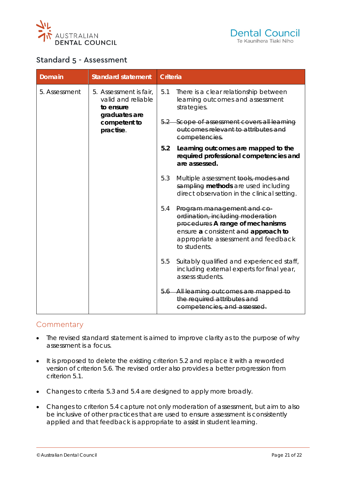



#### Standard 5 - Assessment

| <b>Domain</b>                                                                                                            | <b>Standard statement</b> | <b>Criteria</b>                                                                                                                                                                                  |                                                                                                             |
|--------------------------------------------------------------------------------------------------------------------------|---------------------------|--------------------------------------------------------------------------------------------------------------------------------------------------------------------------------------------------|-------------------------------------------------------------------------------------------------------------|
| 5. Assessment<br>5. Assessment is fair,<br>valid and reliable<br>to ensure<br>graduates are<br>competent to<br>practise. |                           | 5.1                                                                                                                                                                                              | There is a clear relationship between<br>learning outcomes and assessment<br>strategies.                    |
|                                                                                                                          |                           | 5.2 Scope of assessment covers all learning<br>outcomes relevant to attributes and<br>competencies.                                                                                              |                                                                                                             |
|                                                                                                                          | 5.2                       | Learning outcomes are mapped to the<br>required professional competencies and<br>are assessed.                                                                                                   |                                                                                                             |
|                                                                                                                          | 5.3                       | Multiple assessment tools, modes and<br>sampling methods are used including<br>direct observation in the clinical setting.                                                                       |                                                                                                             |
|                                                                                                                          | 5.4                       | Program management and co-<br>ordination, including moderation<br>procedures A range of mechanisms<br>ensure a consistent and approach to<br>appropriate assessment and feedback<br>to students. |                                                                                                             |
|                                                                                                                          |                           | 5.5                                                                                                                                                                                              | Suitably qualified and experienced staff,<br>including external experts for final year,<br>assess students. |
|                                                                                                                          |                           | $5.6 -$                                                                                                                                                                                          | All learning outcomes are mapped to<br>the required attributes and<br>competencies, and assessed.           |

#### **Commentary**

- The revised standard statement is aimed to improve clarity as to the purpose of why assessment is a focus.
- It is proposed to delete the existing criterion 5.2 and replace it with a reworded version of criterion 5.6. The revised order also provides a better progression from criterion 5.1.
- Changes to criteria 5.3 and 5.4 are designed to apply more broadly.
- Changes to criterion 5.4 capture not only moderation of assessment, but aim to also be inclusive of other practices that are used to ensure assessment is consistently applied and that feedback is appropriate to assist in student learning.